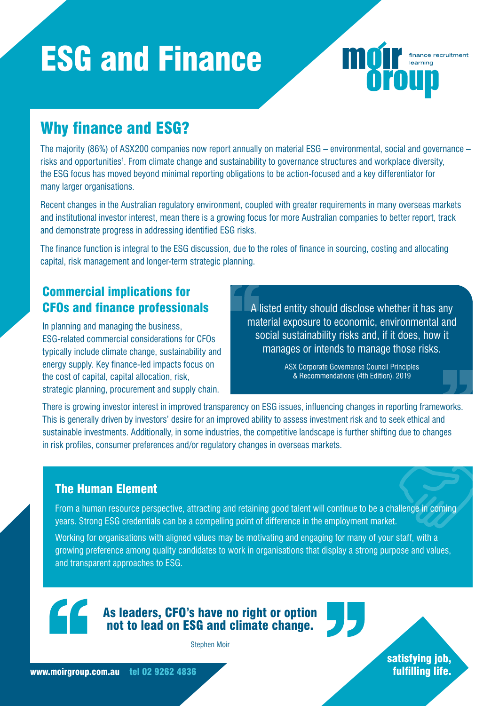# ESG and Finance



The majority (86%) of ASX200 companies now report annually on material ESG – environmental, social and governance – risks and opportunities<sup>1</sup>. From climate change and sustainability to governance structures and workplace diversity, the ESG focus has moved beyond minimal reporting obligations to be action-focused and a key differentiator for many larger organisations.

Recent changes in the Australian regulatory environment, coupled with greater requirements in many overseas markets and institutional investor interest, mean there is a growing focus for more Australian companies to better report, track and demonstrate progress in addressing identified ESG risks.

The finance function is integral to the ESG discussion, due to the roles of finance in sourcing, costing and allocating capital, risk management and longer-term strategic planning.

# Commercial implications for CFOs and finance professionals

In planning and managing the business, ESG-related commercial considerations for CFOs typically include climate change, sustainability and energy supply. Key finance-led impacts focus on the cost of capital, capital allocation, risk, strategic planning, procurement and supply chain.

A listed entity should disclose whether it has any material exposure to economic, environmental and social sustainability risks and, if it does, how it manages or intends to manage those risks.

finance recruitment

learning

**Oroup** 

ASX Corporate Governance Council Principles & Recommendations (4th Edition). 2019

There is growing investor interest in improved transparency on ESG issues, influencing changes in reporting frameworks. This is generally driven by investors' desire for an improved ability to assess investment risk and to seek ethical and sustainable investments. Additionally, in some industries, the competitive landscape is further shifting due to changes in risk profiles, consumer preferences and/or regulatory changes in overseas markets.

#### The Human Element

From a human resource perspective, attracting and retaining good talent will continue to be a challenge in coming years. Strong ESG credentials can be a compelling point of difference in the employment market.

Working for organisations with aligned values may be motivating and engaging for many of your staff, with a growing preference among quality candidates to work in organisations that display a strong purpose and values, and transparent approaches to ESG.

## As leaders, CFO's have no right or option not to lead on ESG and climate change.

Stephen Moir